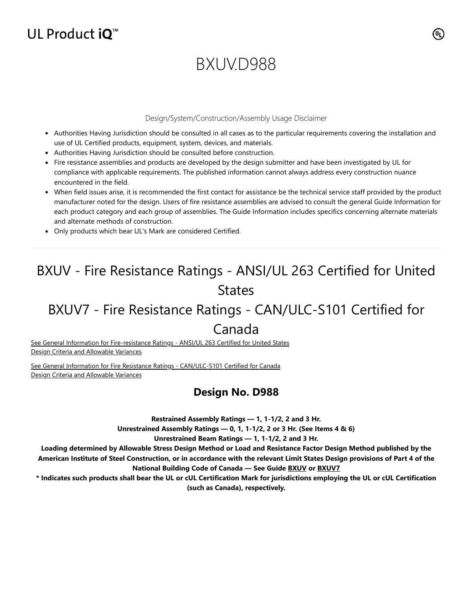## UL Product  $iQ^m$

# BXUV.D988

#### Design/System/Construction/Assembly Usage Disclaimer

- Authorities Having Jurisdiction should be consulted in all cases as to the particular requirements covering the installation and use of UL Certified products, equipment, system, devices, and materials.
- Authorities Having Jurisdiction should be consulted before construction.
- Fire resistance assemblies and products are developed by the design submitter and have been investigated by UL for compliance with applicable requirements. The published information cannot always address every construction nuance encountered in the field.
- When field issues arise, it is recommended the first contact for assistance be the technical service staff provided by the product manufacturer noted for the design. Users of fire resistance assemblies are advised to consult the general Guide Information for each product category and each group of assemblies. The Guide Information includes specifics concerning alternate materials and alternate methods of construction.
- Only products which bear UL's Mark are considered Certified.

## BXUV - Fire Resistance Ratings - ANSI/UL 263 Certified for United States

## BXUV7 - Fire Resistance Ratings - CAN/ULC-S101 Certified for

### Canada

[See General Information for Fire-resistance Ratings - ANSI/UL 263 Certified for United States](https://iq.ulprospector.com/en/cgi-bin/XYV/template/LISEXT/1FRAME/showpage.html?name=BXUV.GuideInfo&ccnshorttitle=Fire-resistance+Ratings+-+ANSI/UL+263&objid=1074327030&cfgid=1073741824&version=versionless&parent_id=1073984818&sequence=1) Design Criteria and Allowable Variances

[See General Information for Fire Resistance Ratings - CAN/ULC-S101 Certified for Canada](https://iq.ulprospector.com/en/cgi-bin/XYV/template/LISEXT/1FRAME/showpage.html?name=BXUV7.GuideInfo&ccnshorttitle=Fire+Resistance+Ratings+-+CAN/ULC-S101+Certified+for+Canada&objid=1074205658&cfgid=1073741824&version=versionless&parent_id=1073984820&sequence=1) Design Criteria and Allowable Variances

### **Design No. D988**

**Restrained Assembly Ratings — 1, 1-1/2, 2 and 3 Hr.**

**Unrestrained Assembly Ratings — 0, 1, 1-1/2, 2 or 3 Hr. (See Items 4 & 6)**

**Unrestrained Beam Ratings — 1, 1-1/2, 2 and 3 Hr.**

**Loading determined by Allowable Stress Design Method or Load and Resistance Factor Design Method published by the American Institute of Steel Construction, or in accordance with the relevant Limit States Design provisions of Part 4 of the National Building Code of Canada — See Guide [BXUV](https://database.ul.com/cgi-bin/XYV/template/LISEXT/1FRAME/showpage.html?name=BXUV.GuideInfo&ccnshorttitle=Fire-resistance+Ratings+-+ANSI/UL+263&objid=1074327030&cfgid=1073741824&version=versionless&parent_id=1073984818&sequence=1) or [BXUV7](https://database.ul.com/cgi-bin/XYV/template/LISEXT/1FRAME/showpage.html?name=BXUV7.GuideInfo&ccnshorttitle=Fire+Resistance+Ratings+-+CAN/ULC-S101M+Certified+for+Canada&objid=1074205658&cfgid=1073741824&version=versionless&parent_id=1073984820&sequence=1)**

**\* Indicates such products shall bear the UL or cUL Certification Mark for jurisdictions employing the UL or cUL Certification (such as Canada), respectively.**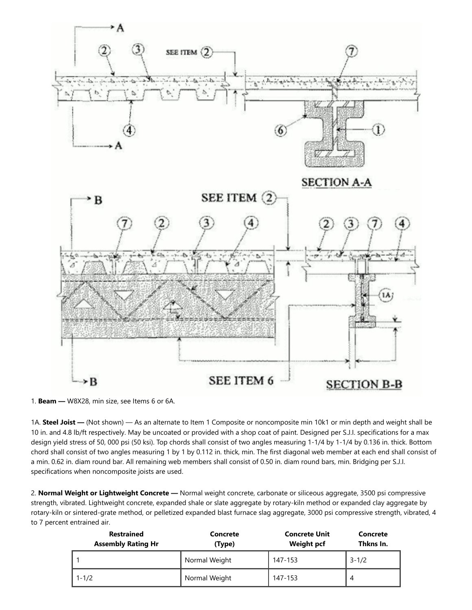

1. **Beam —** W8X28, min size, see Items 6 or 6A.

1A. **Steel Joist —** (Not shown) — As an alternate to Item 1 Composite or noncomposite min 10k1 or min depth and weight shall be 10 in. and 4.8 lb/ft respectively. May be uncoated or provided with a shop coat of paint. Designed per S.J.I. specifications for a max design yield stress of 50, 000 psi (50 ksi). Top chords shall consist of two angles measuring 1-1/4 by 1-1/4 by 0.136 in. thick. Bottom chord shall consist of two angles measuring 1 by 1 by 0.112 in. thick, min. The first diagonal web member at each end shall consist of a min. 0.62 in. diam round bar. All remaining web members shall consist of 0.50 in. diam round bars, min. Bridging per S.J.I. specifications when noncomposite joists are used.

2. **Normal Weight or Lightweight Concrete —** Normal weight concrete, carbonate or siliceous aggregate, 3500 psi compressive strength, vibrated. Lightweight concrete, expanded shale or slate aggregate by rotary-kiln method or expanded clay aggregate by rotary-kiln or sintered-grate method, or pelletized expanded blast furnace slag aggregate, 3000 psi compressive strength, vibrated, 4 to 7 percent entrained air.

| <b>Restrained</b><br><b>Assembly Rating Hr</b> | <b>Concrete Unit</b><br>Concrete<br><b>Weight pcf</b><br>(Type) |         | Concrete<br>Thkns In. |
|------------------------------------------------|-----------------------------------------------------------------|---------|-----------------------|
|                                                | Normal Weight                                                   | 147-153 | $3 - 1/2$             |
| $1 - 1/2$                                      | Normal Weight                                                   | 147-153 |                       |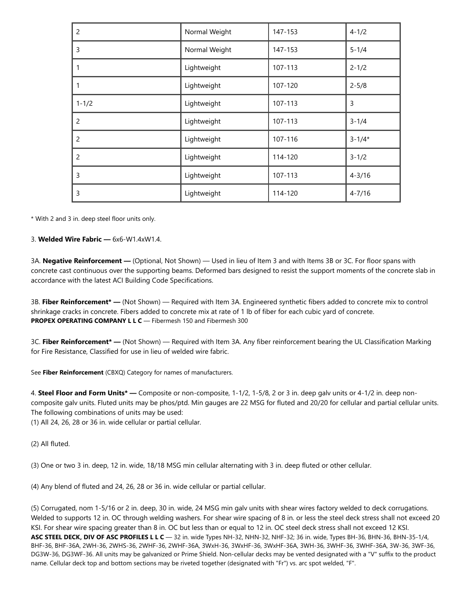| $\overline{2}$ | Normal Weight          | $4 - 1/2$<br>147-153 |            |
|----------------|------------------------|----------------------|------------|
| 3              | Normal Weight          | 147-153              | $5 - 1/4$  |
| 1              | Lightweight            | 107-113              | $2 - 1/2$  |
| 1              | Lightweight<br>107-120 |                      | $2 - 5/8$  |
| $1 - 1/2$      | Lightweight            | 107-113              | 3          |
| 2              | Lightweight            | 107-113              | $3 - 1/4$  |
| $\overline{2}$ | Lightweight            | 107-116              | $3 - 1/4*$ |
| $\overline{2}$ | Lightweight            | 114-120              | $3 - 1/2$  |
| 3              | Lightweight            | 107-113              | $4 - 3/16$ |
| 3              | Lightweight            | 114-120              | $4 - 7/16$ |

\* With 2 and 3 in. deep steel floor units only.

3. **Welded Wire Fabric —** 6x6-W1.4xW1.4.

3A. **Negative Reinforcement —** (Optional, Not Shown) — Used in lieu of Item 3 and with Items 3B or 3C. For floor spans with concrete cast continuous over the supporting beams. Deformed bars designed to resist the support moments of the concrete slab in accordance with the latest ACI Building Code Specifications.

3B. **Fiber Reinforcement\* —** (Not Shown) — Required with Item 3A. Engineered synthetic fibers added to concrete mix to control shrinkage cracks in concrete. Fibers added to concrete mix at rate of 1 lb of fiber for each cubic yard of concrete. **PROPEX OPERATING COMPANY L L C** — Fibermesh 150 and Fibermesh 300

3C. **Fiber Reinforcement\* —** (Not Shown) — Required with Item 3A. Any fiber reinforcement bearing the UL Classification Marking for Fire Resistance, Classified for use in lieu of welded wire fabric.

See **Fiber Reinforcement** (CBXQ) Category for names of manufacturers.

4. **Steel Floor and Form Units\* —** Composite or non-composite, 1-1/2, 1-5/8, 2 or 3 in. deep galv units or 4-1/2 in. deep noncomposite galv units. Fluted units may be phos/ptd. Min gauges are 22 MSG for fluted and 20/20 for cellular and partial cellular units. The following combinations of units may be used:

(1) All 24, 26, 28 or 36 in. wide cellular or partial cellular.

(2) All fluted.

(3) One or two 3 in. deep, 12 in. wide, 18/18 MSG min cellular alternating with 3 in. deep fluted or other cellular.

(4) Any blend of fluted and 24, 26, 28 or 36 in. wide cellular or partial cellular.

(5) Corrugated, nom 1-5/16 or 2 in. deep, 30 in. wide, 24 MSG min galv units with shear wires factory welded to deck corrugations. Welded to supports 12 in. OC through welding washers. For shear wire spacing of 8 in. or less the steel deck stress shall not exceed 20 KSI. For shear wire spacing greater than 8 in. OC but less than or equal to 12 in. OC steel deck stress shall not exceed 12 KSI. **ASC STEEL DECK, DIV OF ASC PROFILES L L C** — 32 in. wide Types NH-32, NHN-32, NHF-32; 36 in. wide, Types BH-36, BHN-36, BHN-35-1/4, BHF-36, BHF-36A, 2WH-36, 2WHS-36, 2WHF-36, 2WHF-36A, 3WxH-36, 3WxHF-36, 3WxHF-36A, 3WH-36, 3WHF-36, 3WHF-36A, 3W-36, 3WF-36, DG3W-36, DG3WF-36. All units may be galvanized or Prime Shield. Non-cellular decks may be vented designated with a "V" suffix to the product name. Cellular deck top and bottom sections may be riveted together (designated with "Fr") vs. arc spot welded, "F".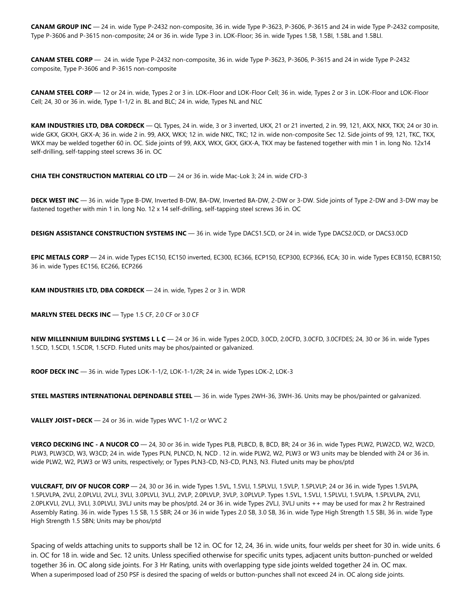**CANAM GROUP INC** — 24 in. wide Type P-2432 non-composite, 36 in. wide Type P-3623, P-3606, P-3615 and 24 in wide Type P-2432 composite, Type P-3606 and P-3615 non-composite; 24 or 36 in. wide Type 3 in. LOK-Floor; 36 in. wide Types 1.5B, 1.5BI, 1.5BL and 1.5BLI.

**CANAM STEEL CORP** — 24 in. wide Type P-2432 non-composite, 36 in. wide Type P-3623, P-3606, P-3615 and 24 in wide Type P-2432 composite, Type P-3606 and P-3615 non-composite

**CANAM STEEL CORP** — 12 or 24 in. wide, Types 2 or 3 in. LOK-Floor and LOK-Floor Cell; 36 in. wide, Types 2 or 3 in. LOK-Floor and LOK-Floor Cell; 24, 30 or 36 in. wide, Type 1-1/2 in. BL and BLC; 24 in. wide, Types NL and NLC

**KAM INDUSTRIES LTD, DBA CORDECK** — QL Types, 24 in. wide, 3 or 3 inverted, UKX, 21 or 21 inverted, 2 in. 99, 121, AKX, NKX, TKX; 24 or 30 in. wide GKX, GKXH, GKX-A; 36 in. wide 2 in. 99, AKX, WKX; 12 in. wide NKC, TKC; 12 in. wide non-composite Sec 12. Side joints of 99, 121, TKC, TKX, WKX may be welded together 60 in. OC. Side joints of 99, AKX, WKX, GKX, GKX-A, TKX may be fastened together with min 1 in. long No. 12x14 self-drilling, self-tapping steel screws 36 in. OC

**CHIA TEH CONSTRUCTION MATERIAL CO LTD** — 24 or 36 in. wide Mac-Lok 3; 24 in. wide CFD-3

**DECK WEST INC** — 36 in. wide Type B-DW, Inverted B-DW, BA-DW, Inverted BA-DW, 2-DW or 3-DW. Side joints of Type 2-DW and 3-DW may be fastened together with min 1 in. long No. 12 x 14 self-drilling, self-tapping steel screws 36 in. OC

**DESIGN ASSISTANCE CONSTRUCTION SYSTEMS INC** — 36 in. wide Type DACS1.5CD, or 24 in. wide Type DACS2.0CD, or DACS3.0CD

**EPIC METALS CORP** — 24 in. wide Types EC150, EC150 inverted, EC300, EC366, ECP150, ECP300, ECP366, ECA; 30 in. wide Types ECB150, ECBR150; 36 in. wide Types EC156, EC266, ECP266

**KAM INDUSTRIES LTD, DBA CORDECK** — 24 in. wide, Types 2 or 3 in. WDR

**MARLYN STEEL DECKS INC** — Type 1.5 CF, 2.0 CF or 3.0 CF

**NEW MILLENNIUM BUILDING SYSTEMS L L C** — 24 or 36 in. wide Types 2.0CD, 3.0CD, 2.0CFD, 3.0CFD, 3.0CFDES; 24, 30 or 36 in. wide Types 1.5CD, 1.5CDI, 1.5CDR, 1.5CFD. Fluted units may be phos/painted or galvanized.

**ROOF DECK INC** — 36 in. wide Types LOK-1-1/2, LOK-1-1/2R; 24 in. wide Types LOK-2, LOK-3

**STEEL MASTERS INTERNATIONAL DEPENDABLE STEEL** — 36 in. wide Types 2WH-36, 3WH-36. Units may be phos/painted or galvanized.

**VALLEY JOIST+DECK** — 24 or 36 in. wide Types WVC 1-1/2 or WVC 2

**VERCO DECKING INC - A NUCOR CO** — 24, 30 or 36 in. wide Types PLB, PLBCD, B, BCD, BR; 24 or 36 in. wide Types PLW2, PLW2CD, W2, W2CD, PLW3, PLW3CD, W3, W3CD; 24 in. wide Types PLN, PLNCD, N, NCD . 12 in. wide PLW2, W2, PLW3 or W3 units may be blended with 24 or 36 in. wide PLW2, W2, PLW3 or W3 units, respectively; or Types PLN3-CD, N3-CD, PLN3, N3. Fluted units may be phos/ptd

**VULCRAFT, DIV OF NUCOR CORP** — 24, 30 or 36 in. wide Types 1.5VL, 1.5VLI, 1.5PLVLI, 1.5VLP, 1.5PLVLP; 24 or 36 in. wide Types 1.5VLPA, 1.5PLVLPA, 2VLI, 2.0PLVLI, 2VLJ, 3VLI, 3.0PLVLI, 3VLJ, 2VLP, 2.0PLVLP, 3VLP, 3.0PLVLP. Types 1.5VL, 1.5VLI, 1.5PLVLI, 1.5VLPA, 1.5PLVLPA, 2VLI, 2.0PLKVLI, 2VLJ, 3VLI, 3.0PLVLI, 3VLJ units may be phos/ptd. 24 or 36 in. wide Types 2VLJ, 3VLJ units ++ may be used for max 2 hr Restrained Assembly Rating. 36 in. wide Types 1.5 SB, 1.5 SBR; 24 or 36 in wide Types 2.0 SB, 3.0 SB, 36 in. wide Type High Strength 1.5 SBI, 36 in. wide Type High Strength 1.5 SBN; Units may be phos/ptd

Spacing of welds attaching units to supports shall be 12 in. OC for 12, 24, 36 in. wide units, four welds per sheet for 30 in. wide units. 6 in. OC for 18 in. wide and Sec. 12 units. Unless specified otherwise for specific units types, adjacent units button-punched or welded together 36 in. OC along side joints. For 3 Hr Rating, units with overlapping type side joints welded together 24 in. OC max. When a superimposed load of 250 PSF is desired the spacing of welds or button-punches shall not exceed 24 in. OC along side joints.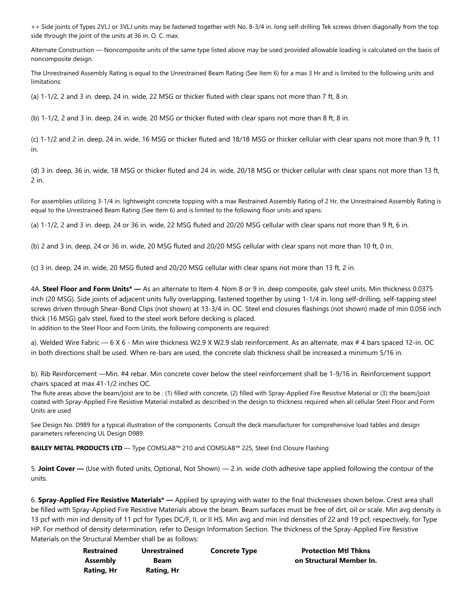++ Side joints of Types 2VLJ or 3VLJ units may be fastened together with No. 8-3/4 in. long self-drilling Tek screws driven diagonally from the top side through the joint of the units at 36 in. O. C. max.

Alternate Construction — Noncomposite units of the same type listed above may be used provided allowable loading is calculated on the basis of noncomposite design.

The Unrestrained Assembly Rating is equal to the Unrestrained Beam Rating (See Item 6) for a max 3 Hr and is limited to the following units and limitations:

(a) 1-1/2, 2 and 3 in. deep, 24 in. wide, 22 MSG or thicker fluted with clear spans not more than 7 ft, 8 in.

(b) 1-1/2, 2 and 3 in. deep, 24 in. wide, 20 MSG or thicker fluted with clear spans not more than 8 ft, 8 in.

(c) 1-1/2 and 2 in. deep, 24 in. wide, 16 MSG or thicker fluted and 18/18 MSG or thicker cellular with clear spans not more than 9 ft, 11 in.

(d) 3 in. deep, 36 in. wide, 18 MSG or thicker fluted and 24 in. wide, 20/18 MSG or thicker cellular with clear spans not more than 13 ft, 2 in.

For assemblies utilizing 3-1/4 in. lightweight concrete topping with a max Restrained Assembly Rating of 2 Hr, the Unrestrained Assembly Rating is equal to the Unrestrained Beam Rating (See Item 6) and is limited to the following floor units and spans:

(a) 1-1/2, 2 and 3 in. deep, 24 or 36 in. wide, 22 MSG fluted and 20/20 MSG cellular with clear spans not more than 9 ft, 6 in.

(b) 2 and 3 in. deep, 24 or 36 in. wide, 20 MSG fluted and 20/20 MSG cellular with clear spans not more than 10 ft, 0 in.

(c) 3 in. deep, 24 in. wide, 20 MSG fluted and 20/20 MSG cellular with clear spans not more than 13 ft, 2 in.

4A. **Steel Floor and Form Units\* —** As an alternate to Item 4. Nom 8 or 9 in. deep composite, galv steel units. Min thickness 0.0375 inch (20 MSG). Side joints of adjacent units fully overlapping, fastened together by using 1-1/4 in. long self-drilling, self-tapping steel screws driven through Shear-Bond Clips (not shown) at 13-3/4 in. OC. Steel end closures flashings (not shown) made of min 0.056 inch thick (16 MSG) galv steel, fixed to the steel work before decking is placed.

In addition to the Steel Floor and Form Units, the following components are required:

a). Welded Wire Fabric — 6 X 6 - Min wire thickness W2.9 X W2.9 slab reinforcement. As an alternate, max # 4 bars spaced 12-in. OC in both directions shall be used. When re-bars are used, the concrete slab thickness shall be increased a minimum 5/16 in.

b). Rib Reinforcement —Min. #4 rebar. Min concrete cover below the steel reinforcement shall be 1-9/16 in. Reinforcement support chairs spaced at max 41-1/2 inches OC.

The flute areas above the beam/joist are to be : (1) filled with concrete, (2) filled with Spray-Applied Fire Resistive Material or (3) the beam/joist coated with Spray-Applied Fire Resistive Material installed as described in the design to thickness required when all cellular Steel Floor and Form Units are used

See Design No. D989 for a typical illustration of the components. Consult the deck manufacturer for comprehensive load tables and design parameters referencing UL Design D989.

**BAILEY METAL PRODUCTS LTD** — Type COMSLAB™ 210 and COMSLAB™ 225, Steel End Closure Flashing

5. **Joint Cover —** (Use with fluted units, Optional, Not Shown) — 2 in. wide cloth adhesive tape applied following the contour of the units.

6. **Spray-Applied Fire Resistive Materials\* —** Applied by spraying with water to the final thicknesses shown below. Crest area shall be filled with Spray-Applied Fire Resistive Materials above the beam. Beam surfaces must be free of dirt, oil or scale. Min avg density is 13 pcf with min ind density of 11 pcf for Types DC/F, II, or II HS. Min avg and min ind densities of 22 and 19 pcf, respectively, for Type HP. For method of density determination, refer to Design Information Section. The thickness of the Spray-Applied Fire Resistive Materials on the Structural Member shall be as follows:

| Restrained | <b>Unrestrained</b> | <b>Concrete Type</b> | <b>Protection Mtl Thkns</b> |
|------------|---------------------|----------------------|-----------------------------|
| Assembly   | Beam                |                      | on Structural Member In.    |
| Rating, Hr | Rating, Hr          |                      |                             |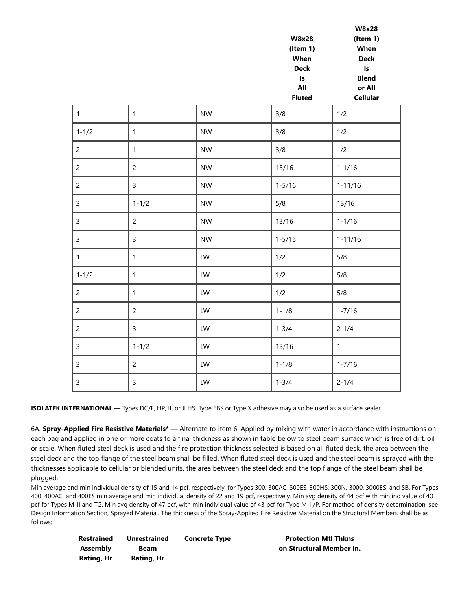|                |                |           | (Item 1)<br>When<br><b>Deck</b><br>$\mathsf{Is}$<br>All<br><b>Fluted</b> | When<br><b>Deck</b><br>$\sf{Is}$<br><b>Blend</b><br>or All<br><b>Cellular</b> |
|----------------|----------------|-----------|--------------------------------------------------------------------------|-------------------------------------------------------------------------------|
| $\mathbf{1}$   | $\mathbf{1}$   | <b>NW</b> | 3/8                                                                      | 1/2                                                                           |
| $1 - 1/2$      | $\mathbf{1}$   | <b>NW</b> | 3/8                                                                      | 1/2                                                                           |
| $\overline{2}$ | $\mathbf{1}$   | <b>NW</b> | 3/8                                                                      | 1/2                                                                           |
| $\overline{c}$ | $\overline{c}$ | <b>NW</b> | 13/16                                                                    | $1 - 1/16$                                                                    |
| $\overline{c}$ | $\overline{3}$ | <b>NW</b> | $1 - 5/16$                                                               | $1 - 11/16$                                                                   |
| $\mathsf{3}$   | $1 - 1/2$      | <b>NW</b> | 5/8                                                                      | 13/16                                                                         |
| $\mathsf{3}$   | $\overline{2}$ | <b>NW</b> | 13/16                                                                    | $1 - 1/16$                                                                    |
| $\mathsf{3}$   | $\overline{3}$ | <b>NW</b> | $1 - 5/16$                                                               | $1 - 11/16$                                                                   |
| $\mathbf{1}$   | $\mathbf{1}$   | LW        | 1/2                                                                      | 5/8                                                                           |
| $1 - 1/2$      | $\mathbf{1}$   | LW        | 1/2                                                                      | 5/8                                                                           |
| $\overline{c}$ | $\mathbf{1}$   | LW        | 1/2                                                                      | 5/8                                                                           |
| $\overline{c}$ | $\overline{c}$ | LW        | $1 - 1/8$                                                                | $1 - 7/16$                                                                    |
| $\overline{c}$ | $\mathsf{3}$   | LW        | $1 - 3/4$                                                                | $2 - 1/4$                                                                     |
| 3              | $1 - 1/2$      | LW        | 13/16                                                                    | $\mathbf{1}$                                                                  |
| $\mathsf{3}$   | $\overline{c}$ | LW        | $1 - 1/8$                                                                | $1 - 7/16$                                                                    |
| $\mathsf{3}$   | $\mathsf{3}$   | LW        | $1 - 3/4$                                                                | $2 - 1/4$                                                                     |

**W8x28**

**W8x28 (Item 1)**

**ISOLATEK INTERNATIONAL** — Types DC/F, HP, II, or II HS. Type EBS or Type X adhesive may also be used as a surface sealer

6A. **Spray-Applied Fire Resistive Materials\* —** Alternate to Item 6. Applied by mixing with water in accordance with instructions on each bag and applied in one or more coats to a final thickness as shown in table below to steel beam surface which is free of dirt, oil or scale. When fluted steel deck is used and the fire protection thickness selected is based on all fluted deck, the area between the steel deck and the top flange of the steel beam shall be filled. When fluted steel deck is used and the steel beam is sprayed with the thicknesses applicable to cellular or blended units, the area between the steel deck and the top flange of the steel beam shall be plugged.

Min average and min individual density of 15 and 14 pcf, respectively, for Types 300, 300AC, 300ES, 300HS, 300N, 3000, 3000ES, and SB. For Types 400, 400AC, and 400ES min average and min individual density of 22 and 19 pcf, respectively. Min avg density of 44 pcf with min ind value of 40 pcf for Types M-II and TG. Min avg density of 47 pcf, with min individual value of 43 pcf for Type M-II/P. For method of density determination, see Design Information Section, Sprayed Material. The thickness of the Spray-Applied Fire Resistive Material on the Structural Members shall be as follows:

| <b>Restrained</b> | <b>Unrestrained</b> | <b>Concrete Type</b> |
|-------------------|---------------------|----------------------|
| Assembly          | Beam                |                      |
| Rating, Hr        | Rating, Hr          |                      |

**Protection Mtl Thkns on Structural Member In.**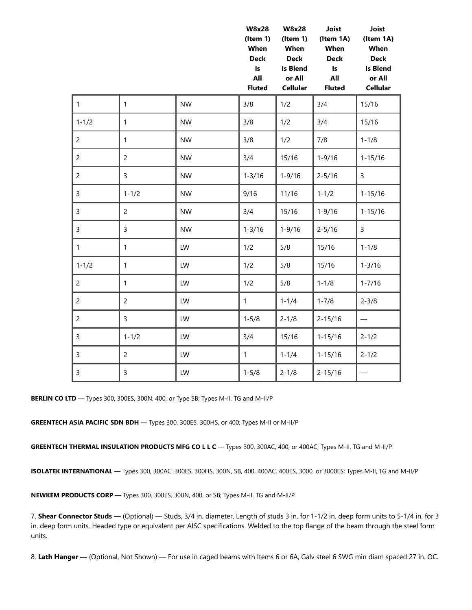|                |                |           | <b>W8x28</b><br>$($ ltem 1 $)$<br>When<br><b>Deck</b><br>$\mathsf{Is}$<br>All<br><b>Fluted</b> | <b>W8x28</b><br>$($ ltem 1 $)$<br>When<br><b>Deck</b><br><b>Is Blend</b><br>or All<br><b>Cellular</b> | Joist<br>(Item 1A)<br>When<br><b>Deck</b><br>$\mathsf{Is}$<br>All<br><b>Fluted</b> | Joist<br>(Item 1A)<br>When<br><b>Deck</b><br><b>Is Blend</b><br>or All<br><b>Cellular</b> |
|----------------|----------------|-----------|------------------------------------------------------------------------------------------------|-------------------------------------------------------------------------------------------------------|------------------------------------------------------------------------------------|-------------------------------------------------------------------------------------------|
| $\mathbf{1}$   | $\mathbf{1}$   | <b>NW</b> | 3/8                                                                                            | 1/2                                                                                                   | 3/4                                                                                | 15/16                                                                                     |
| $1 - 1/2$      | $\mathbf{1}$   | <b>NW</b> | 3/8                                                                                            | 1/2                                                                                                   | 3/4                                                                                | 15/16                                                                                     |
| $\overline{c}$ | $\mathbf{1}$   | <b>NW</b> | 3/8                                                                                            | 1/2                                                                                                   | 7/8                                                                                | $1 - 1/8$                                                                                 |
| $\overline{c}$ | $\overline{2}$ | <b>NW</b> | 3/4                                                                                            | 15/16                                                                                                 | $1 - 9/16$                                                                         | $1 - 15/16$                                                                               |
| $\overline{2}$ | $\overline{3}$ | <b>NW</b> | $1 - 3/16$                                                                                     | $1 - 9/16$                                                                                            | $2 - 5/16$                                                                         | 3                                                                                         |
| 3              | $1 - 1/2$      | <b>NW</b> | 9/16                                                                                           | 11/16                                                                                                 | $1 - 1/2$                                                                          | $1 - 15/16$                                                                               |
| 3              | $\overline{2}$ | <b>NW</b> | 3/4                                                                                            | 15/16                                                                                                 | $1 - 9/16$                                                                         | $1 - 15/16$                                                                               |
| 3              | $\overline{3}$ | <b>NW</b> | $1 - 3/16$                                                                                     | $1 - 9/16$                                                                                            | $2 - 5/16$                                                                         | $\overline{3}$                                                                            |
| $\mathbf{1}$   | $\mathbf{1}$   | LW        | 1/2                                                                                            | 5/8                                                                                                   | 15/16                                                                              | $1 - 1/8$                                                                                 |
| $1 - 1/2$      | $\mathbf{1}$   | LW        | 1/2                                                                                            | 5/8                                                                                                   | 15/16                                                                              | $1 - 3/16$                                                                                |
| $\overline{c}$ | $\mathbf{1}$   | LW        | 1/2                                                                                            | 5/8                                                                                                   | $1 - 1/8$                                                                          | $1 - 7/16$                                                                                |
| $\overline{2}$ | $\overline{2}$ | LW        | $\mathbf{1}$                                                                                   | $1 - 1/4$                                                                                             | $1 - 7/8$                                                                          | $2 - 3/8$                                                                                 |
| $\overline{2}$ | $\overline{3}$ | LW        | $1 - 5/8$                                                                                      | $2 - 1/8$                                                                                             | $2 - 15/16$                                                                        | $\overline{\phantom{0}}$                                                                  |
| 3              | $1 - 1/2$      | LW        | 3/4                                                                                            | 15/16                                                                                                 | $1 - 15/16$                                                                        | $2 - 1/2$                                                                                 |
| $\mathsf{3}$   | $\overline{2}$ | LW        | $\mathbf{1}$                                                                                   | $1 - 1/4$                                                                                             | $1 - 15/16$                                                                        | $2 - 1/2$                                                                                 |
| 3              | 3              | LW        | $1 - 5/8$                                                                                      | $2 - 1/8$                                                                                             | $2 - 15/16$                                                                        |                                                                                           |

**BERLIN CO LTD** — Types 300, 300ES, 300N, 400, or Type SB; Types M-II, TG and M-II/P

**GREENTECH ASIA PACIFIC SDN BDH** — Types 300, 300ES, 300HS, or 400; Types M-II or M-II/P

**GREENTECH THERMAL INSULATION PRODUCTS MFG CO L L C** — Types 300, 300AC, 400, or 400AC; Types M-II, TG and M-II/P

**ISOLATEK INTERNATIONAL** — Types 300, 300AC, 300ES, 300HS, 300N, SB, 400, 400AC, 400ES, 3000, or 3000ES; Types M-II, TG and M-II/P

**NEWKEM PRODUCTS CORP** — Types 300, 300ES, 300N, 400, or SB; Types M-II, TG and M-II/P

7. **Shear Connector Studs —** (Optional) — Studs, 3/4 in. diameter. Length of studs 3 in. for 1-1/2 in. deep form units to 5-1/4 in. for 3 in. deep form units. Headed type or equivalent per AISC specifications. Welded to the top flange of the beam through the steel form units.

8. **Lath Hanger —** (Optional, Not Shown) — For use in caged beams with Items 6 or 6A, Galv steel 6 SWG min diam spaced 27 in. OC.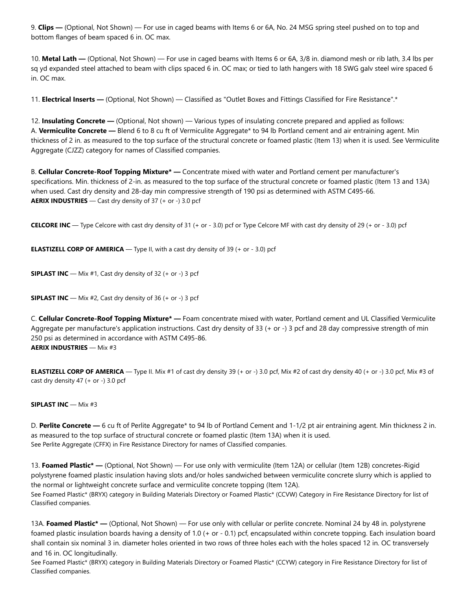9. **Clips —** (Optional, Not Shown) — For use in caged beams with Items 6 or 6A, No. 24 MSG spring steel pushed on to top and bottom flanges of beam spaced 6 in. OC max.

10. **Metal Lath —** (Optional, Not Shown) — For use in caged beams with Items 6 or 6A, 3/8 in. diamond mesh or rib lath, 3.4 lbs per sq yd expanded steel attached to beam with clips spaced 6 in. OC max; or tied to lath hangers with 18 SWG galv steel wire spaced 6 in. OC max.

11. **Electrical Inserts —** (Optional, Not Shown) — Classified as "Outlet Boxes and Fittings Classified for Fire Resistance".\*

12. **Insulating Concrete —** (Optional, Not shown) — Various types of insulating concrete prepared and applied as follows: A. **Vermiculite Concrete —** Blend 6 to 8 cu ft of Vermiculite Aggregate\* to 94 lb Portland cement and air entraining agent. Min thickness of 2 in. as measured to the top surface of the structural concrete or foamed plastic (Item 13) when it is used. See Vermiculite Aggregate (CJZZ) category for names of Classified companies.

B. **Cellular Concrete-Roof Topping Mixture\* —** Concentrate mixed with water and Portland cement per manufacturer's specifications. Min. thickness of 2-in. as measured to the top surface of the structural concrete or foamed plastic (Item 13 and 13A) when used. Cast dry density and 28-day min compressive strength of 190 psi as determined with ASTM C495-66. **AERIX INDUSTRIES** — Cast dry density of 37 (+ or -) 3.0 pcf

**CELCORE INC** — Type Celcore with cast dry density of 31 (+ or - 3.0) pcf or Type Celcore MF with cast dry density of 29 (+ or - 3.0) pcf

**ELASTIZELL CORP OF AMERICA** — Type II, with a cast dry density of 39 (+ or - 3.0) pcf

**SIPLAST INC** — Mix #1, Cast dry density of 32 (+ or -) 3 pcf

**SIPLAST INC** — Mix #2, Cast dry density of 36 (+ or -) 3 pcf

C. **Cellular Concrete-Roof Topping Mixture\* —** Foam concentrate mixed with water, Portland cement and UL Classified Vermiculite Aggregate per manufacture's application instructions. Cast dry density of 33 (+ or -) 3 pcf and 28 day compressive strength of min 250 psi as determined in accordance with ASTM C495-86. **AERIX INDUSTRIES** — Mix #3

**ELASTIZELL CORP OF AMERICA** — Type II. Mix #1 of cast dry density 39 (+ or -) 3.0 pcf, Mix #2 of cast dry density 40 (+ or -) 3.0 pcf, Mix #3 of cast dry density 47 (+ or -) 3.0 pcf

#### **SIPLAST INC** — Mix #3

D. **Perlite Concrete —** 6 cu ft of Perlite Aggregate\* to 94 lb of Portland Cement and 1-1/2 pt air entraining agent. Min thickness 2 in. as measured to the top surface of structural concrete or foamed plastic (Item 13A) when it is used. See Perlite Aggregate (CFFX) in Fire Resistance Directory for names of Classified companies.

13. **Foamed Plastic\* —** (Optional, Not Shown) — For use only with vermiculite (Item 12A) or cellular (Item 12B) concretes-Rigid polystyrene foamed plastic insulation having slots and/or holes sandwiched between vermiculite concrete slurry which is applied to the normal or lightweight concrete surface and vermiculite concrete topping (Item 12A). See Foamed Plastic\* (BRYX) category in Building Materials Directory or Foamed Plastic\* (CCVW) Category in Fire Resistance Directory for list of Classified companies.

13A. **Foamed Plastic\* —** (Optional, Not Shown) — For use only with cellular or perlite concrete. Nominal 24 by 48 in. polystyrene foamed plastic insulation boards having a density of 1.0 (+ or - 0.1) pcf, encapsulated within concrete topping. Each insulation board shall contain six nominal 3 in. diameter holes oriented in two rows of three holes each with the holes spaced 12 in. OC transversely and 16 in. OC longitudinally.

See Foamed Plastic\* (BRYX) category in Building Materials Directory or Foamed Plastic\* (CCYW) category in Fire Resistance Directory for list of Classified companies.